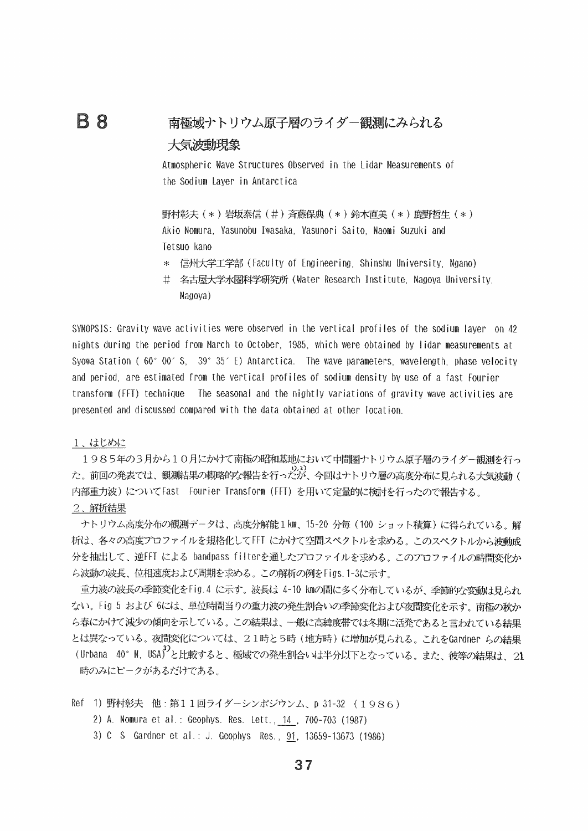## 南極域ナトリウム原子層のライダー観測にみられる 大気波動現象

Atmospheric Wave Structures Observed in the Lidar Measurements of the Sodium Laver in Antarctica

野村彰夫 (\*)岩坂泰信 (#) 斉藤保典 (\*) 鈴木直美 (\*) 鹿野哲生 (\*) Akio Nomura, Yasunobu Iwasaka, Yasunori Saito, Naomi Suzuki and Tetsuo kano

- 信州大学工学部(Faculty of Engineering、Shinshu University、Ngano)  $\ast$
- 名古屋大学水圏科学研究所(Water Research Institute、Nagoya University.  $#$ Nagova)

SYNOPSIS: Gravity wave activities were observed in the vertical profiles of the sodium layer on 42 nights during the period from March to October, 1985, which were obtained by lidar measurements at Syowa Station (60° 00′ S, 39° 35′ E) Antarctica. The wave parameters, wavelength, phase velocity and period, are estimated from the vertical profiles of sodium density by use of a fast Fourier transform (FFT) technique The seasonal and the nightly variations of gravity wave activities are presented and discussed compared with the data obtained at other location.

1、はじめに

**B** 8

1985年の3月から10月にかけて南極の昭和基地において中間圏ナトリウム原子層のライダー観測を行っ た。前回の発表では、観測結果の概略的な報告を行ったが、今回はナトリウ層の高度分布に見られる大気波動 ( 内部重力波)についてFast Fourier Transform (FFT) を用いて定量的に検討を行ったので報告する。

## 2、解析結果

ナトリウム高度分布の観測データは、高度分解能1km、15-20 分毎 (100 ショット積算) に得られている。解 析は、各々の高度プロファイルを規格化してFFI にかけて空間スペクトルを求める。 このスペクトルから波動成 分を抽出して、逆FFI による bandpass filterを通したプロファイルを求める。このプロファイルの時間変化か ら波動の波長、位相速度および周期を求める。この解析の例をFigs. 1-3に示す。

重力波の波長の季節変化をFig.4 に示す。 波長は 4-10 kmの間に多く分布しているが、 季節的な変動は見られ ない。 Fig 5 および 6には、単位時間当りの重力波の発生割合いの季節変化および夜間変化を示す。 南極の秋か ら春にかけて減少の傾向を示している。この結果は、一般に高緯度帯では冬期に活発であると言われている結果 とは異なっている。夜間変化については、21時と5時 (地方時)に増加が見られる。これをGardner らの結果 (Urbana 40° N, USA) と比較すると、極域での発生割合いは半分以下となっている。また、彼等の結果は、21 時のみにピークがあるだけである。

- Ref 1) 野村彰夫 他:第11回ライダーシンポジウンム、p 31-32 (1986)
	- 2) A. Nomura et al.: Geophys. Res. Lett., 14, 700-703 (1987)
	- 3) C S Gardner et al.: J. Geophys Res., 91, 13659-13673 (1986)